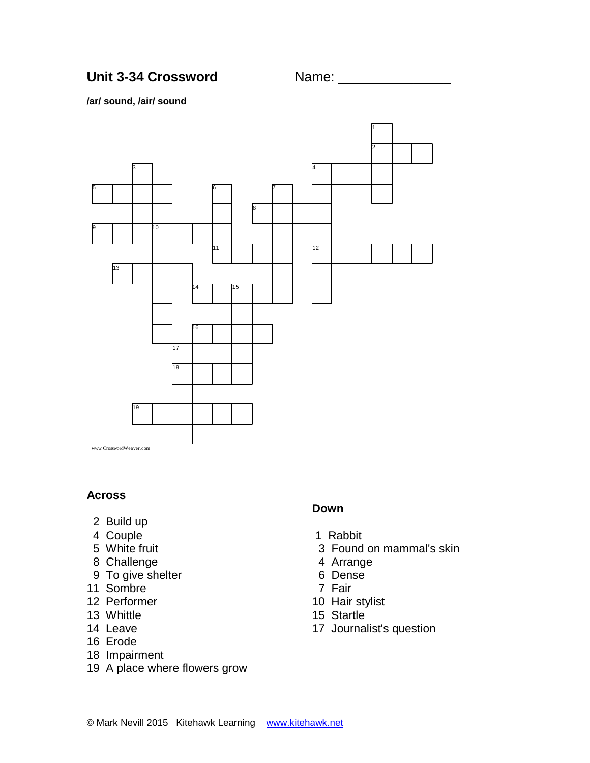# Unit 3-34 Crossword Name:

#### **/ar/ sound, /air/ sound**



### **Across**

- 2 Build up
- 4 Couple
- 5 White fruit
- 8 Challenge
- 9 To give shelter
- 11 Sombre
- 12 Performer
- 13 Whittle
- 14 Leave
- 16 Erode
- 18 Impairment
- 19 A place where flowers grow

### **Down**

- 1 Rabbit
- 3 Found on mammal's skin
- 4 Arrange
- 6 Dense
- 7 Fair
- 10 Hair stylist
- 15 Startle
- 17 Journalist's question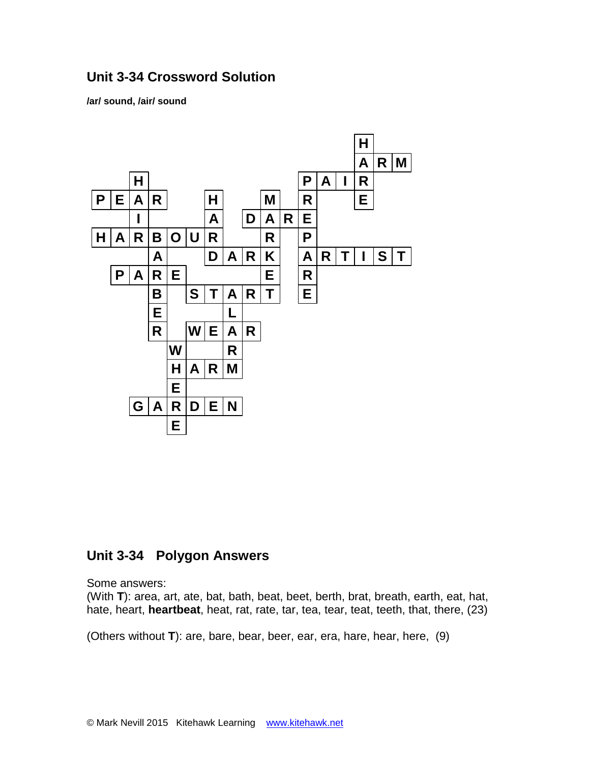## **Unit 3-34 Crossword Solution**

**/ar/ sound, /air/ sound**



### **Unit 3-34 Polygon Answers**

Some answers:

(With **T**): area, art, ate, bat, bath, beat, beet, berth, brat, breath, earth, eat, hat, hate, heart, **heartbeat**, heat, rat, rate, tar, tea, tear, teat, teeth, that, there, (23)

(Others without **T**): are, bare, bear, beer, ear, era, hare, hear, here, (9)